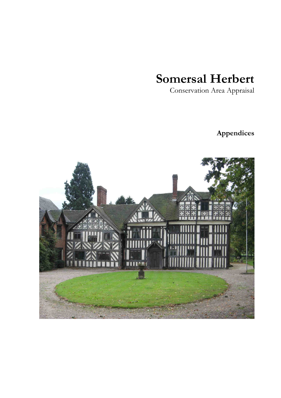# **Somersal Herbert**

Conservation Area Appraisal

# **Appendices**

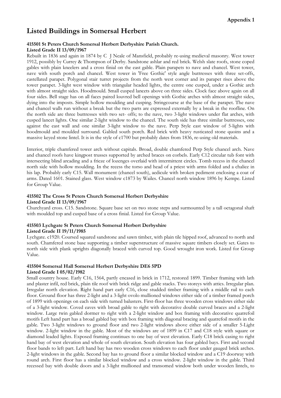# Listed Buildings in Somersal Herbert

## 415501 St Peters Church Somersal Herbert Derbyshire Parish Church. Listed Grade II 13/09/1967

Rebuilt in 1836 and again in 1874 by C J Neale of Mansfield, probably re-using medieval masonry. West tower 1912, possibly by Currey & Thompson of Derby. Sandstone ashlar and red brick. Welsh slate roofs, stone coped gables with plain kneelers and a cross finial on the east gable. Plain parapets to nave and chancel. West tower, nave with south porch and chancel. West tower in 'Free Gothic' style angle buttresses with three set-offs, castellated parapet. Polygonal stair turret projects from the north west corner and its parapet rises above the tower parapet. 3-light west window with triangular headed lights, the centre one cusped, under a Gothic arch with almost straight sides. Hoodmould. Small cusped lancets above on three sides. Clock face above again on all four sides. Bell stage has on all faces paired louvred bell openings with Gothic arches with almost straight sides, dying into the imposts. Simple hollow moulding and cusping. Stringcourse at the base of the parapet. The nave and chancel walls run without a break but the two parts are expressed externally by a break in the roofline. On the north side are three buttresses with two set- offs; to the nave, two 3-light windows under flat arches, with cusped lancet lights. One similar 2-light window to the chancel. The south side has three similar buttresses, one against the east wall and one similar 3-light window to the nave. Perp Style east window of 5-lights with hoodmould and moulded surround. Gabled south porch. Red brick with heavy rusticated stone quoins and a massive keyed stone lintel. It is in the style of c1700 but probably dates from 1836, re-using old materials.

Interior, triple chamfered tower arch without capitals. Broad, double chamfered Perp Style chancel arch. Nave and chancel roofs have kingpost trusses supported by arched braces on corbels. Early C12 circular tub font with intersecting blind arcading and a frieze of lozenges overlaid with intermittent circles. Tomb recess in the chancel north side with hollow moulding. In the recess the torso and head of a priest with arms folded and a chalice in his lap. Probably early C15. Wall monument (chancel south), aedicule with broken pediment enclosing a coat of arms. Dated 1601. Stained glass. West window c1873 by Wailes. Chancel north window 1896 by Kempe. Listed for Group Value.

#### 415502 The Cross St Peters Church Somersal Herbert Derbyshire Listed Grade II 13/09/1967

Churchyard cross. C15. Sandstone. Square base set on two stone steps and surmounted by a tall octagonal shaft with moulded top and cusped base of a cross finial. Listed for Group Value.

#### 415503 Lychgate St Peters Church Somersal Herbert Derbyshire Listed Grade II 19/11/1985

Lychgate. c1920. Coursed squared sandstone and sawn timber, with plain tile hipped roof, advanced to north and south. Chamfered stone base supporting a timber superstructure of massive square timbers closely set. Gates to north side with plank uprights diagonally braced with curved top. Good wrought iron work. Listed for Group

# 415504 Somersal Hall Somersal Herbert Derbyshire DE6 5PD Listed Grade I 05/02/1982

Value.

Small country house. Early C16, 1564, partly encased in brick in 1712, restored 1899. Timber framing with lath and plaster infil, red brick, plain tile roof with brick ridge and gable stacks. Two storeys with attics. Irregular plan. Irregular north elevation. Right hand part early C16, close studded timber framing with a middle rail to each floor. Ground floor has three 2-light and a 3-light ovolo mullioned windows either side of a timber framed porch of 1899 with openings on each side with turned balusters. First-floor has three wooden cross windows either side of a 3-light window. Coved eaves with broad gable to right with decorative double curved braces and a 2-light window. Large twin gabled dormer to right with a 2-light window and box framing with decorative quatrefoil motifs Left hand part has a broad gabled bay with box framing with diagonal bracing and quatrefoil motifs in the gable. Two 3-light windows to ground floor and two 2-light windows above either side of a smaller 5-Light window. 2-light window in the gable. Most of the windows are of 1899 in C17 and C18 style with square or diamond leaded lights. Exposed framing continues to one bay of west elevation. Early C18 brick casing to right hand bay of west elevation and whole of south elevation. South elevation has four gabled bays. First and second floor bands to left part. Left hand bay has two wooden cross windows to each floor under gauged brick arches. 2-light windows in the gable. Second bay has to ground floor a similar blocked window and a C19 doorway with round arch. First floor has a similar blocked window and a cross window. 2-light window in the gable. Third recessed bay with double doors and a 3-light mullioned and transomed window both under wooden lintels, to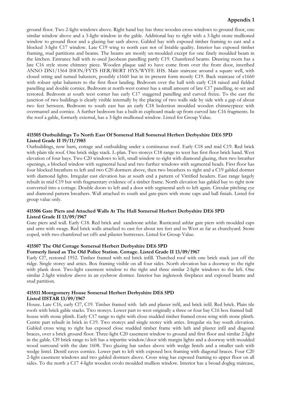# Appendix 1

ground floor. Two 2-light windows above. Right hand bay has three wooden cross windows to ground floor, one similar window above and a 3-light window in the gable. Additional bay to right with a 3-light stone mullioned window to ground floor and a glazing bar sash above. Gabled bay with exposed timber framing to east and a blocked 3-light C17 window. Late C19 wing to north east not of listable quality. Interior has exposed timber framing, stud partitions and beams. The beams are mostly un-moulded except for one finely moulded beam in the kitchen. Entrance hall with re-used Jacobean panelling partly C19. Chamfered beams. Drawing room has a late C16 style stone chimney piece. Wooden plaque said to have come from over the front door, inscribed ANNO DN1/1564 IHON/FYTS HER/BERT HYS/WYFE IHS. Main staircase around a square well, with closed string and turned balusters, possibly c1660 but in its present form mostly C19. Back staircase of c1660 with robust splat balusters to the first floor landing. Bedroom over the hall with early C18 raised and fielded panelling and double cornice. Bedroom at north-west corner has a small amount of late C17 panelling, re-set and restored. Bedroom at south west corner has early C17 staggered panelling and curved freize. To the east the junction of two buildings is clearly visible internally by the placing of two walls side by side with a gap of about two feet between. Bedroom to south east has an early C18 bolection moulded wooden chimneypiece with overmantel and cornice. A further bedroom has a built-in cupboard made up from curved late C16 fragments. In the roof a gable, formerly external, has a 3-light mullioned window. Listed for Group Value.

## 415505 Outbuildings To North East Of Somersal Hall Somersal Herbert Derbyshire DE6 5PD Listed Grade II 19/11/1985

Outbuildings, now barn, cottage and outbuilding under a continuous roof. Early C18 and mid C19. Red brick with plain tile roof. One brick ridge stack. L-plan. Two storeys C18 range to west has first floor brick band. West elevation of four bays. Two C20 windows to left, small window to right with diamond glazing, then two breather openings, a blocked window with segmental head and two further windows with segmental heads. First floor has four blocked breathers to left and two C20 dormers above, then two breathers to right and a C19 gabled dormer with diamond lights. Irregular east elevation has at south end a pattern of Vitrified headers. East range largely rebuilt in mid C19 but with fragmentary evidence of a timber frame. North elevation has gabled bay to right now converted into a cottage. Double doors to left and a door with segmental arch to left again. Circular pitching eye and diamond pattern breathers. Wall attached to south and gate-piers with stone caps and ball finials. Listed for group value only.

#### 415506 Gate Piers and Attached Walls At The Hall Somersal Herbert Derbyshire DE6 5PD Listed Grade II 13/09/1967

Gate piers and wall. Early C18. Red brick and sandstone ashlar. Rusticated ashlar gate piers with moulded caps and urns with swags. Red brick walls attached to east for about ten feet and to West as far as churchyard. Stone coped, with two chamfered set offs and pilaster buttresses. Listed for Group Value.

#### 415507 The Old Cottage Somersal Herbert Derbyshire DE6 5PD

#### Formerly listed as The Old Police Station. Cottage. Listed Grade II 13/09/1967

Early Cl7, restored 1952. Timber framed with red brick infill. Thatched roof with one brick stack just off the ridge. Single storey and attics. Box framing visible on all four sides. North elevation has a doorway to the right with plank door. Two-light casement window to the right and three similar 2-light windows to the left. One similar 2-light window above in an eyebrow dormer. Interior has inglenook fireplaces and exposed beams and stud partition.

#### 415511 Montgomery House Somersal Herbert Derbyshire DE6 5PD Listed IISTAR 13/09/1967

House. Late C16, early Cl7, C19. Timber framed with lath and plaster infil, and brick infil. Red brick. Plain tile roofs with brick gable stacks. Two storeys. Lower part to west originally a three or four bay C16 box framed hall house with stone plinth. Early C17 range to right with close studded timber framed cross wing with stone plinth. Centre part rebuilt in brick in C19. Two storeys and single storey with attics. Irregular six bay south elevation. Gabled cross wing to right has exposed close studded timber frame with lath and plaster infil and diagonal braces, over a brick ground floor. Three-light C20 casement window to ground and first floor and similar 2-light in the gable. Cl9 brick range to left has a tripartite window/door with margin lights and a doorway with moulded wood surround with the date 1608. Two glazing bar sashes above with wedge lintels and a smaller sash with wedge lintel. Dentil eaves cornice. Lower part to left with exposed box framing with diagonal braces. Four C20 2-light casement windows and two gabled dormers above. Cross wing has exposed framing to upper floor on all sides. To the north a C17 4-light wooden ovolo moulded mullion window. Interior has a broad dogleg staircase,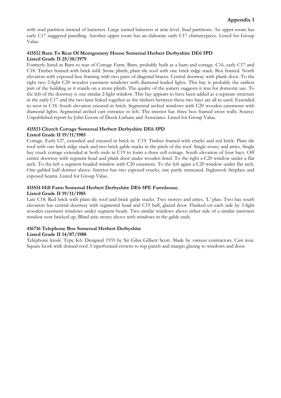with stud partition instead of banisters. Large turned balusters at attic level. Stud partitions. An upper room has early C17 staggered panelling. Another upper room has an elaborate early C17 chimneypiece. Listed for Group Value.

## 415512 Barn To Rear Of Montgomery House Somersal Herbert Derbyshire DE6 5PD Listed Grade II 25/10/1979

Formerly listed as Barn to rear of Cottage Farm. Barn, probably built as a barn and cottage. C16, early C17 and C18. Timber framed with brick infil. Stone plinth, plain tile roof with one brick ridge stack. Box framed. North elevation with exposed box framing with two pairs of diagonal braces. Central doorway with plank door. To the right two 2-light C20 wooden casement windows with diamond leaded lights. This bay is probably the earliest part of the building as it stands on a stone plinth. The quality of the joinery suggests it was for domestic use. To the left of the doorway is one similar 2-light window. This bay appears to have been added as a separate structure in the early C17 and the two later linked together as the timbers between these two bays are all re-used. Extended to west in C18. South elevation encased in brick. Segmental arched windows with C20 wooden casements with diamond lights. Segmental arched cart entrance to left. The interior has three box framed cross walls. Source: Unpublished report by John Goom of Derek Latham and Associates. Listed for Group Value.

#### 415513 Church Cottage Somersal Herbert Derbyshire DE6 5PD Listed Grade II 19/11/1985

Cottage. Early Cl7, extended and encased in brick in C19. Timber framed with crucks and red brick. Plain tile roof with one brick ridge stack and two brick gable stacks in the pitch of the roof. Single storey and attics. Single bay cruck cottage extended at both ends in C19 to form a three cell cottage. South elevation of four bays. Off centre doorway with segment head and plank door under wooden lintel. To the right a C20 window under a flat arch. To the left a segment headed window with C20 casement. To the left again a C20 window under flat arch. One gabled half dormer above. Interior has two exposed crucks, one partly truncated. Inglenook fireplace and exposed beams. Listed for Group Value.

#### 415514 Hill Farm Somersal Herbert Derbyshire DE6 5PE Farmhouse. Listed Grade II 19/11/1985

Late C18. Red brick with plain tile roof and brick gable stacks. Two storeys and attics. 'L' plan. Two bay south elevation has central doorway with segmental head and C19 half, glazed door. Flanked on each side by 3-light wooden casement windows under segment heads. Two similar windows above either side of a similar narrower window now bricked up. Blind attic storey above with windows in the gable ends.

# 416716 Telephone Box Somersal Herbert Derbyshire

#### Listed Grade II 14/07/1988

Telephone kiosk. Type K6. Designed 1935 by Sir Giles Gilbert Scott. Made by various contractors. Cast iron. Square kiosk with domed roof. Unperforated crowns to top panels and margin glazing to windows and door.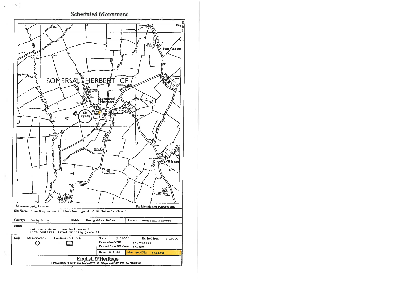

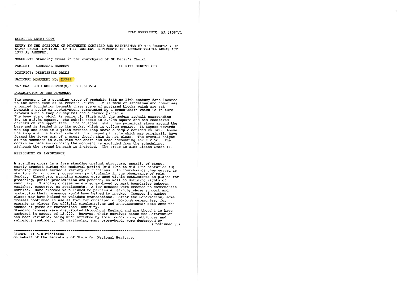FILE REFERENCE: AA 31587/1

#### SCHEDULE ENTRY COPY

ENTRY IN THE SCHEDULE OF MONUMENTS COMPILED AND MAINTAINED BY THE SECRETARY OF STATE UNDER SECTION 1 OF THE ANCIENT MONUMENTS AND ARCHAEOLOGICAL AREAS ACT 1979 AS AMENDED.

MONUMENT: Standing cross in the churchyard of St Peter's Church

SOMERSAL HERBERT PARISH:

COUNTY: DERBYSHIRE

DISTRICT: DERBYSHIRE DALES

NATIONAL MONUMENT NO: 23348

NATIONAL GRID REFERENCE(S): SK13613514

#### DESCRIPTION OF THE MONUMENT

The monument is a standing cross of probable 14th or 15th century date located to the south east of St Peter's Church. It is made of sandstone and comprises a buried foundation beneath three steps of mortared blocks which are set beneath a socle or socket-stone surmounted by a cross-shaft which is in turn crowned with a knop or capital and a carved pinnacle. The base step, which is currently flush with the modern asphalt surrounding it, is c.2.5m square. The cuboid socle is c.62cm square and has chamfered corners on its upper face. The octagonal shaft has pyramidal stops around the base and is leaded into its socket which is c.30cm square. It tapers towards the top and ends in a plain rounded knop above a simple moulded collar. Above the knop are the broken remains of a cusped pinnacle which may originally have formed the lower arm of a cross though this is not clear. The overall height<br>of the monument is c.4m with the shaft and head accounting for c.2.5m. The modern surface surrounding the monument is excluded from the scheduling, although the ground beneath is included. The cross is also Listed Grade II.

#### ASSESSMENT OF IMPORTANCE

A standing cross is a free standing upright structure, usually of stone, mostly erected during the medieval period (mid 10th to mid 16th centuries AD).<br>Standing crosses served a variety of functions. In churchyards they served as stations for outdoor processions, particularly in the observance of Palm Sunday. Elsewhere, standing crosses were used within settlements as places for preaching, public proclamation and penance, as well as defining rights of sanctuary. Standing crosses were also employed to mark boundaries between parishes, property, or settlements. A few crosses were erected to commemorate battles. Some crosses were linked to particular saints, whose support and protection their presence would have helped to invoke. Crosses in market places may have helped to validate transactions. After the Reformation, some crosses continued in use as foci for municipal or borough ceremonies, for example as places for official proclamations and announcements; some were the scenes of games or recreational activity. Standing crosses were distributed throughout England and are thought to have numbered in excess of 12,000. However, their survival since the Reformation

has been variable, being much affected by local conditions, attitudes and religious sentiment. In particular, many cross-heads were destroyed by

 $(Continued ...)$ 

SIGNED BY: A.R.Middleton On behalf of the Secretary of State for National Heritage.